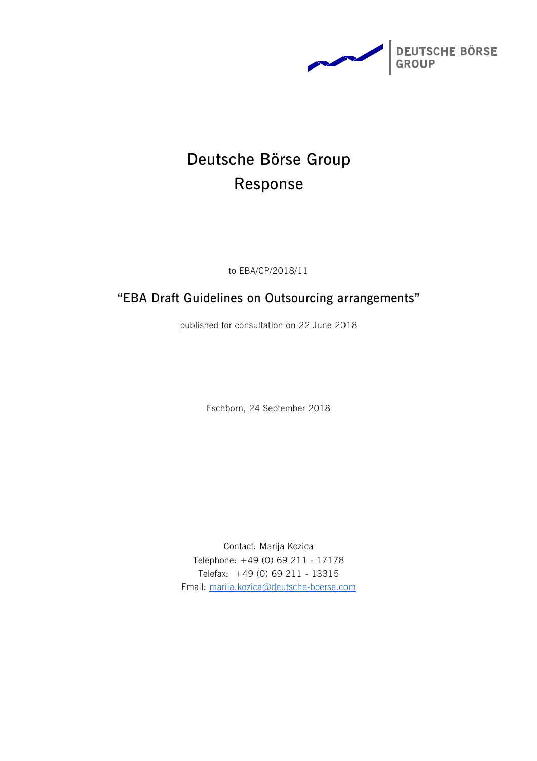

# **Deutsche Börse Group Response**

to EBA/CP/2018/11

## **"EBA Draft Guidelines on Outsourcing arrangements"**

published for consultation on 22 June 2018

Eschborn, 24 September 2018

Contact: Marija Kozica Telephone: +49 (0) 69 211 - 17178 Telefax: +49 (0) 69 211 - 13315 Email: [marija.kozica@deutsche-boerse.com](mailto:marija.kozica@deutsche-boerse.com)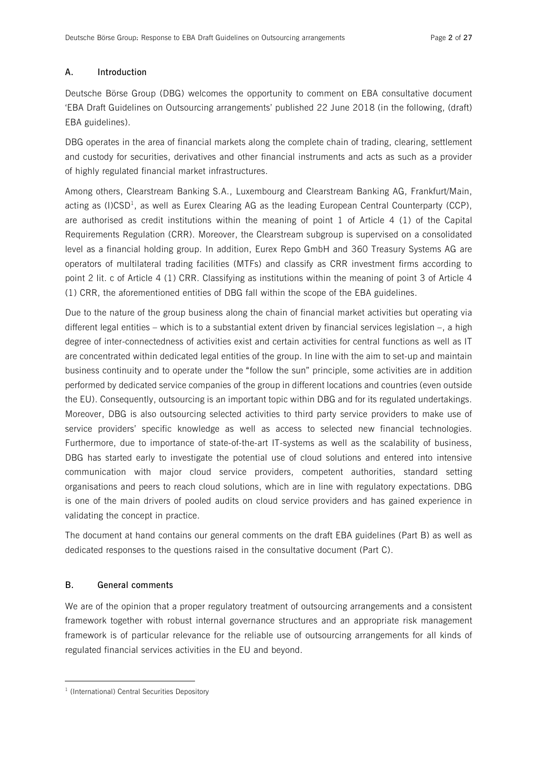## **A. Introduction**

Deutsche Börse Group (DBG) welcomes the opportunity to comment on EBA consultative document 'EBA Draft Guidelines on Outsourcing arrangements' published 22 June 2018 (in the following, (draft) EBA guidelines).

DBG operates in the area of financial markets along the complete chain of trading, clearing, settlement and custody for securities, derivatives and other financial instruments and acts as such as a provider of highly regulated financial market infrastructures.

Among others, Clearstream Banking S.A., Luxembourg and Clearstream Banking AG, Frankfurt/Main, acting as (I)CSD<sup>1</sup>, as well as Eurex Clearing AG as the leading European Central Counterparty (CCP), are authorised as credit institutions within the meaning of point 1 of Article 4 (1) of the Capital Requirements Regulation (CRR). Moreover, the Clearstream subgroup is supervised on a consolidated level as a financial holding group. In addition, Eurex Repo GmbH and 360 Treasury Systems AG are operators of multilateral trading facilities (MTFs) and classify as CRR investment firms according to point 2 lit. c of Article 4 (1) CRR. Classifying as institutions within the meaning of point 3 of Article 4 (1) CRR, the aforementioned entities of DBG fall within the scope of the EBA guidelines.

Due to the nature of the group business along the chain of financial market activities but operating via different legal entities – which is to a substantial extent driven by financial services legislation –, a high degree of inter-connectedness of activities exist and certain activities for central functions as well as IT are concentrated within dedicated legal entities of the group. In line with the aim to set-up and maintain business continuity and to operate under the "follow the sun" principle, some activities are in addition performed by dedicated service companies of the group in different locations and countries (even outside the EU). Consequently, outsourcing is an important topic within DBG and for its regulated undertakings. Moreover, DBG is also outsourcing selected activities to third party service providers to make use of service providers' specific knowledge as well as access to selected new financial technologies. Furthermore, due to importance of state-of-the-art IT-systems as well as the scalability of business, DBG has started early to investigate the potential use of cloud solutions and entered into intensive communication with major cloud service providers, competent authorities, standard setting organisations and peers to reach cloud solutions, which are in line with regulatory expectations. DBG is one of the main drivers of pooled audits on cloud service providers and has gained experience in validating the concept in practice.

The document at hand contains our general comments on the draft EBA guidelines (Part B) as well as dedicated responses to the questions raised in the consultative document (Part C).

## **B. General comments**

 $\overline{a}$ 

We are of the opinion that a proper regulatory treatment of outsourcing arrangements and a consistent framework together with robust internal governance structures and an appropriate risk management framework is of particular relevance for the reliable use of outsourcing arrangements for all kinds of regulated financial services activities in the EU and beyond.

<sup>&</sup>lt;sup>1</sup> (International) Central Securities Depository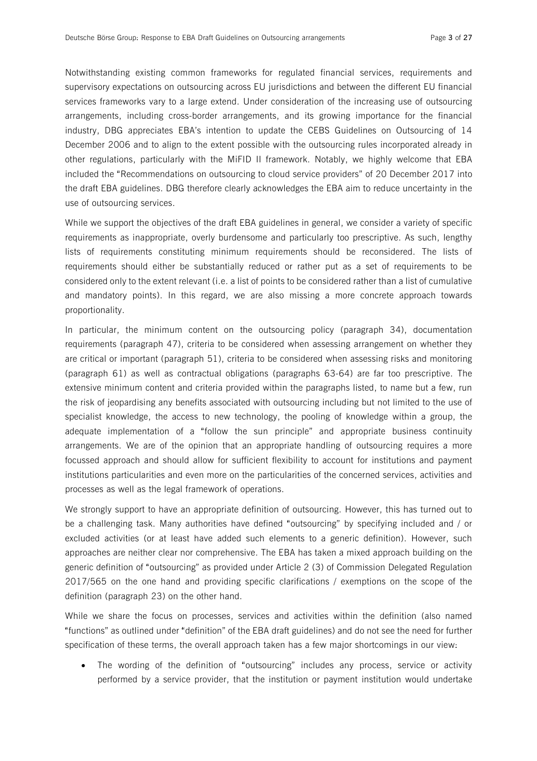Notwithstanding existing common frameworks for regulated financial services, requirements and supervisory expectations on outsourcing across EU jurisdictions and between the different EU financial services frameworks vary to a large extend. Under consideration of the increasing use of outsourcing arrangements, including cross-border arrangements, and its growing importance for the financial industry, DBG appreciates EBA's intention to update the CEBS Guidelines on Outsourcing of 14 December 2006 and to align to the extent possible with the outsourcing rules incorporated already in other regulations, particularly with the MiFID II framework. Notably, we highly welcome that EBA included the "Recommendations on outsourcing to cloud service providers" of 20 December 2017 into the draft EBA guidelines. DBG therefore clearly acknowledges the EBA aim to reduce uncertainty in the use of outsourcing services.

While we support the objectives of the draft EBA guidelines in general, we consider a variety of specific requirements as inappropriate, overly burdensome and particularly too prescriptive. As such, lengthy lists of requirements constituting minimum requirements should be reconsidered. The lists of requirements should either be substantially reduced or rather put as a set of requirements to be considered only to the extent relevant (i.e. a list of points to be considered rather than a list of cumulative and mandatory points). In this regard, we are also missing a more concrete approach towards proportionality.

In particular, the minimum content on the outsourcing policy (paragraph 34), documentation requirements (paragraph 47), criteria to be considered when assessing arrangement on whether they are critical or important (paragraph 51), criteria to be considered when assessing risks and monitoring (paragraph 61) as well as contractual obligations (paragraphs 63-64) are far too prescriptive. The extensive minimum content and criteria provided within the paragraphs listed, to name but a few, run the risk of jeopardising any benefits associated with outsourcing including but not limited to the use of specialist knowledge, the access to new technology, the pooling of knowledge within a group, the adequate implementation of a "follow the sun principle" and appropriate business continuity arrangements. We are of the opinion that an appropriate handling of outsourcing requires a more focussed approach and should allow for sufficient flexibility to account for institutions and payment institutions particularities and even more on the particularities of the concerned services, activities and processes as well as the legal framework of operations.

We strongly support to have an appropriate definition of outsourcing. However, this has turned out to be a challenging task. Many authorities have defined "outsourcing" by specifying included and / or excluded activities (or at least have added such elements to a generic definition). However, such approaches are neither clear nor comprehensive. The EBA has taken a mixed approach building on the generic definition of "outsourcing" as provided under Article 2 (3) of Commission Delegated Regulation 2017/565 on the one hand and providing specific clarifications / exemptions on the scope of the definition (paragraph 23) on the other hand.

While we share the focus on processes, services and activities within the definition (also named "functions" as outlined under "definition" of the EBA draft guidelines) and do not see the need for further specification of these terms, the overall approach taken has a few major shortcomings in our view:

• The wording of the definition of "outsourcing" includes any process, service or activity performed by a service provider, that the institution or payment institution would undertake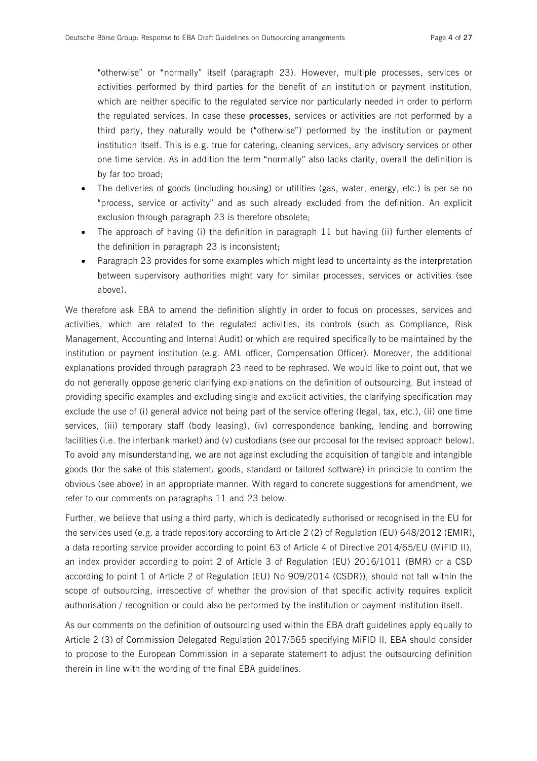"otherwise" or "normally" itself (paragraph 23). However, multiple processes, services or activities performed by third parties for the benefit of an institution or payment institution, which are neither specific to the regulated service nor particularly needed in order to perform the regulated services. In case these **processes**, services or activities are not performed by a third party, they naturally would be ("otherwise") performed by the institution or payment institution itself. This is e.g. true for catering, cleaning services, any advisory services or other one time service. As in addition the term "normally" also lacks clarity, overall the definition is by far too broad;

- · The deliveries of goods (including housing) or utilities (gas, water, energy, etc.) is per se no "process, service or activity" and as such already excluded from the definition. An explicit exclusion through paragraph 23 is therefore obsolete;
- The approach of having (i) the definition in paragraph 11 but having (ii) further elements of the definition in paragraph 23 is inconsistent;
- Paragraph 23 provides for some examples which might lead to uncertainty as the interpretation between supervisory authorities might vary for similar processes, services or activities (see above).

We therefore ask EBA to amend the definition slightly in order to focus on processes, services and activities, which are related to the regulated activities, its controls (such as Compliance, Risk Management, Accounting and Internal Audit) or which are required specifically to be maintained by the institution or payment institution (e.g. AML officer, Compensation Officer). Moreover, the additional explanations provided through paragraph 23 need to be rephrased. We would like to point out, that we do not generally oppose generic clarifying explanations on the definition of outsourcing. But instead of providing specific examples and excluding single and explicit activities, the clarifying specification may exclude the use of (i) general advice not being part of the service offering (legal, tax, etc.), (ii) one time services, (iii) temporary staff (body leasing), (iv) correspondence banking, lending and borrowing facilities (i.e. the interbank market) and (v) custodians (see our proposal for the revised approach below). To avoid any misunderstanding, we are not against excluding the acquisition of tangible and intangible goods (for the sake of this statement: goods, standard or tailored software) in principle to confirm the obvious (see above) in an appropriate manner. With regard to concrete suggestions for amendment, we refer to our comments on paragraphs 11 and 23 below.

Further, we believe that using a third party, which is dedicatedly authorised or recognised in the EU for the services used (e.g. a trade repository according to Article 2 (2) of Regulation (EU) 648/2012 (EMIR), a data reporting service provider according to point 63 of Article 4 of Directive 2014/65/EU (MiFID II), an index provider according to point 2 of Article 3 of Regulation (EU) 2016/1011 (BMR) or a CSD according to point 1 of Article 2 of Regulation (EU) No 909/2014 (CSDR)), should not fall within the scope of outsourcing, irrespective of whether the provision of that specific activity requires explicit authorisation / recognition or could also be performed by the institution or payment institution itself.

As our comments on the definition of outsourcing used within the EBA draft guidelines apply equally to Article 2 (3) of Commission Delegated Regulation 2017/565 specifying MiFID II, EBA should consider to propose to the European Commission in a separate statement to adjust the outsourcing definition therein in line with the wording of the final EBA guidelines.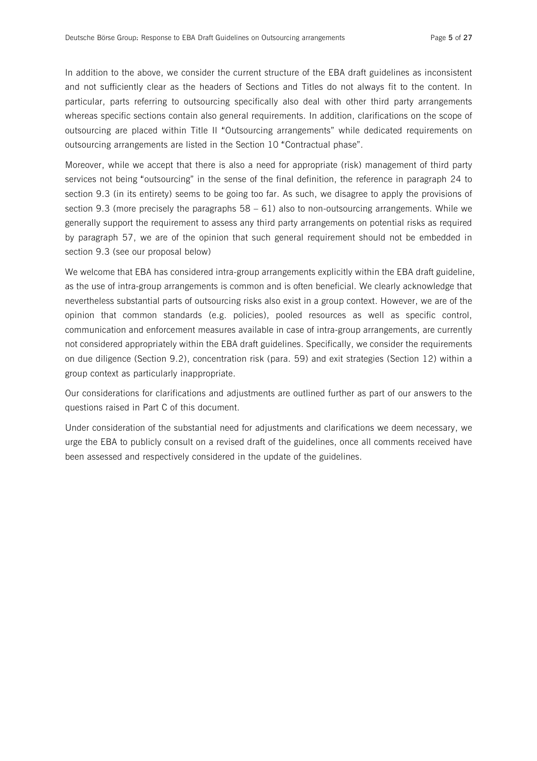In addition to the above, we consider the current structure of the EBA draft guidelines as inconsistent and not sufficiently clear as the headers of Sections and Titles do not always fit to the content. In particular, parts referring to outsourcing specifically also deal with other third party arrangements whereas specific sections contain also general requirements. In addition, clarifications on the scope of outsourcing are placed within Title II "Outsourcing arrangements" while dedicated requirements on outsourcing arrangements are listed in the Section 10 "Contractual phase".

Moreover, while we accept that there is also a need for appropriate (risk) management of third party services not being "outsourcing" in the sense of the final definition, the reference in paragraph 24 to section 9.3 (in its entirety) seems to be going too far. As such, we disagree to apply the provisions of section 9.3 (more precisely the paragraphs 58 – 61) also to non-outsourcing arrangements. While we generally support the requirement to assess any third party arrangements on potential risks as required by paragraph 57, we are of the opinion that such general requirement should not be embedded in section 9.3 (see our proposal below)

We welcome that EBA has considered intra-group arrangements explicitly within the EBA draft guideline, as the use of intra-group arrangements is common and is often beneficial. We clearly acknowledge that nevertheless substantial parts of outsourcing risks also exist in a group context. However, we are of the opinion that common standards (e.g. policies), pooled resources as well as specific control, communication and enforcement measures available in case of intra-group arrangements, are currently not considered appropriately within the EBA draft guidelines. Specifically, we consider the requirements on due diligence (Section 9.2), concentration risk (para. 59) and exit strategies (Section 12) within a group context as particularly inappropriate.

Our considerations for clarifications and adjustments are outlined further as part of our answers to the questions raised in Part C of this document.

Under consideration of the substantial need for adjustments and clarifications we deem necessary, we urge the EBA to publicly consult on a revised draft of the guidelines, once all comments received have been assessed and respectively considered in the update of the guidelines.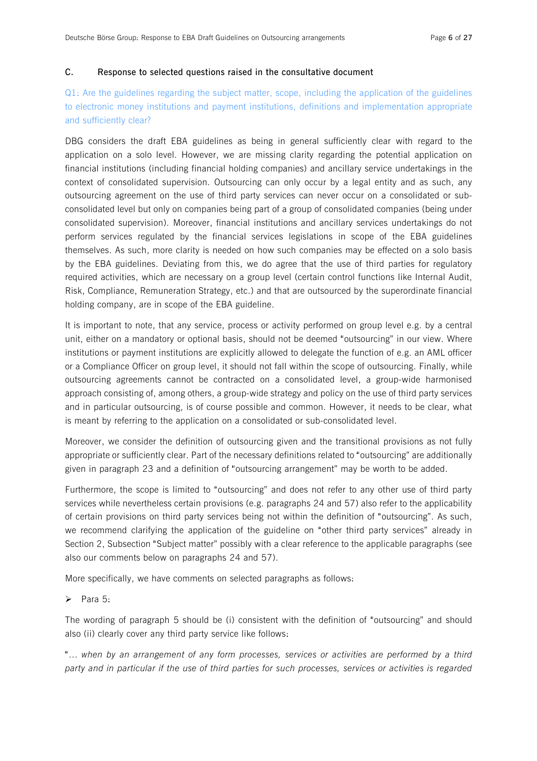#### **C. Response to selected questions raised in the consultative document**

## Q1: Are the guidelines regarding the subject matter, scope, including the application of the guidelines to electronic money institutions and payment institutions, definitions and implementation appropriate and sufficiently clear?

DBG considers the draft EBA guidelines as being in general sufficiently clear with regard to the application on a solo level. However, we are missing clarity regarding the potential application on financial institutions (including financial holding companies) and ancillary service undertakings in the context of consolidated supervision. Outsourcing can only occur by a legal entity and as such, any outsourcing agreement on the use of third party services can never occur on a consolidated or subconsolidated level but only on companies being part of a group of consolidated companies (being under consolidated supervision). Moreover, financial institutions and ancillary services undertakings do not perform services regulated by the financial services legislations in scope of the EBA guidelines themselves. As such, more clarity is needed on how such companies may be effected on a solo basis by the EBA guidelines. Deviating from this, we do agree that the use of third parties for regulatory required activities, which are necessary on a group level (certain control functions like Internal Audit, Risk, Compliance, Remuneration Strategy, etc.) and that are outsourced by the superordinate financial holding company, are in scope of the EBA guideline.

It is important to note, that any service, process or activity performed on group level e.g. by a central unit, either on a mandatory or optional basis, should not be deemed "outsourcing" in our view. Where institutions or payment institutions are explicitly allowed to delegate the function of e.g. an AML officer or a Compliance Officer on group level, it should not fall within the scope of outsourcing. Finally, while outsourcing agreements cannot be contracted on a consolidated level, a group-wide harmonised approach consisting of, among others, a group-wide strategy and policy on the use of third party services and in particular outsourcing, is of course possible and common. However, it needs to be clear, what is meant by referring to the application on a consolidated or sub-consolidated level.

Moreover, we consider the definition of outsourcing given and the transitional provisions as not fully appropriate or sufficiently clear. Part of the necessary definitions related to "outsourcing" are additionally given in paragraph 23 and a definition of "outsourcing arrangement" may be worth to be added.

Furthermore, the scope is limited to "outsourcing" and does not refer to any other use of third party services while nevertheless certain provisions (e.g. paragraphs 24 and 57) also refer to the applicability of certain provisions on third party services being not within the definition of "outsourcing". As such, we recommend clarifying the application of the guideline on "other third party services" already in Section 2, Subsection "Subject matter" possibly with a clear reference to the applicable paragraphs (see also our comments below on paragraphs 24 and 57).

More specifically, we have comments on selected paragraphs as follows:

#### $\triangleright$  Para 5:

The wording of paragraph 5 should be (i) consistent with the definition of "outsourcing" and should also (ii) clearly cover any third party service like follows:

"… *when by an arrangement of any form processes, services or activities are performed by a third*  party and in particular if the use of third parties for such processes, services or activities is regarded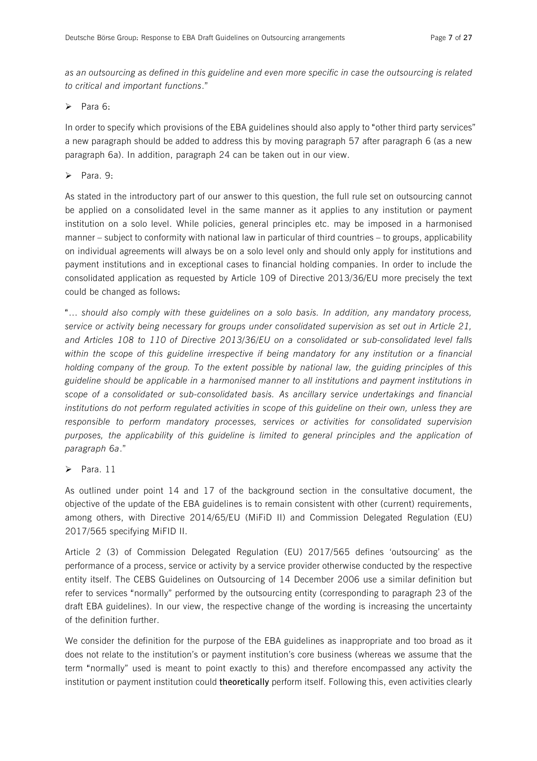as an outsourcing as defined in this guideline and even more specific in case the outsourcing is related *to critical and important functions*."

 $\triangleright$  Para 6:

In order to specify which provisions of the EBA guidelines should also apply to "other third party services" a new paragraph should be added to address this by moving paragraph 57 after paragraph 6 (as a new paragraph 6a). In addition, paragraph 24 can be taken out in our view.

 $\triangleright$  Para. 9:

As stated in the introductory part of our answer to this question, the full rule set on outsourcing cannot be applied on a consolidated level in the same manner as it applies to any institution or payment institution on a solo level. While policies, general principles etc. may be imposed in a harmonised manner – subject to conformity with national law in particular of third countries – to groups, applicability on individual agreements will always be on a solo level only and should only apply for institutions and payment institutions and in exceptional cases to financial holding companies. In order to include the consolidated application as requested by Article 109 of Directive 2013/36/EU more precisely the text could be changed as follows:

"… *should also comply with these guidelines on a solo basis. In addition, any mandatory process, service or activity being necessary for groups under consolidated supervision as set out in Article 21, and Articles 108 to 110 of Directive 2013/36/EU on a consolidated or sub-consolidated level falls within the scope of this guideline irrespective if being mandatory for any institution or a financial holding company of the group. To the extent possible by national law, the guiding principles of this guideline should be applicable in a harmonised manner to all institutions and payment institutions in scope of a consolidated or sub-consolidated basis. As ancillary service undertakings and financial institutions do not perform regulated activities in scope of this guideline on their own, unless they are responsible to perform mandatory processes, services or activities for consolidated supervision purposes, the applicability of this guideline is limited to general principles and the application of paragraph 6a*."

 $\triangleright$  Para. 11

As outlined under point 14 and 17 of the background section in the consultative document, the objective of the update of the EBA guidelines is to remain consistent with other (current) requirements, among others, with Directive 2014/65/EU (MiFiD II) and Commission Delegated Regulation (EU) 2017/565 specifying MiFID II.

Article 2 (3) of Commission Delegated Regulation (EU) 2017/565 defines 'outsourcing' as the performance of a process, service or activity by a service provider otherwise conducted by the respective entity itself. The CEBS Guidelines on Outsourcing of 14 December 2006 use a similar definition but refer to services "normally" performed by the outsourcing entity (corresponding to paragraph 23 of the draft EBA guidelines). In our view, the respective change of the wording is increasing the uncertainty of the definition further.

We consider the definition for the purpose of the EBA guidelines as inappropriate and too broad as it does not relate to the institution's or payment institution's core business (whereas we assume that the term "normally" used is meant to point exactly to this) and therefore encompassed any activity the institution or payment institution could **theoretically** perform itself. Following this, even activities clearly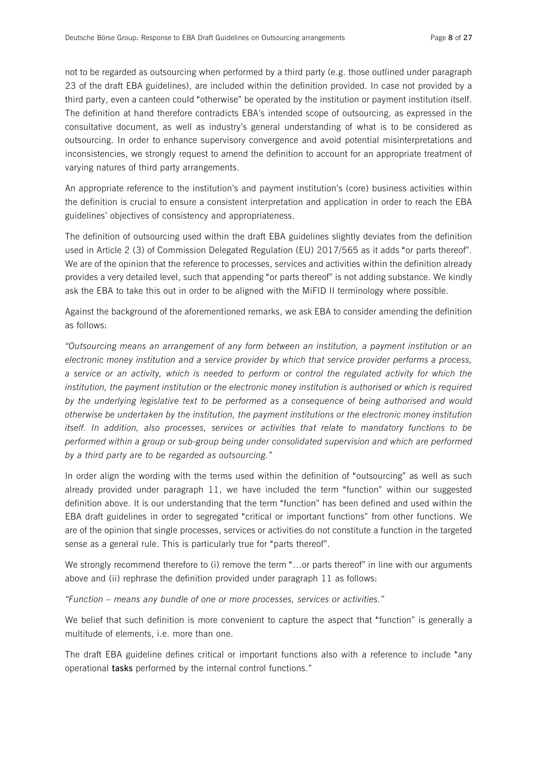not to be regarded as outsourcing when performed by a third party (e.g. those outlined under paragraph 23 of the draft EBA guidelines), are included within the definition provided. In case not provided by a third party, even a canteen could "otherwise" be operated by the institution or payment institution itself. The definition at hand therefore contradicts EBA's intended scope of outsourcing, as expressed in the consultative document, as well as industry's general understanding of what is to be considered as outsourcing. In order to enhance supervisory convergence and avoid potential misinterpretations and inconsistencies, we strongly request to amend the definition to account for an appropriate treatment of varying natures of third party arrangements.

An appropriate reference to the institution's and payment institution's (core) business activities within the definition is crucial to ensure a consistent interpretation and application in order to reach the EBA guidelines' objectives of consistency and appropriateness.

The definition of outsourcing used within the draft EBA guidelines slightly deviates from the definition used in Article 2 (3) of Commission Delegated Regulation (EU) 2017/565 as it adds "or parts thereof". We are of the opinion that the reference to processes, services and activities within the definition already provides a very detailed level, such that appending "or parts thereof" is not adding substance. We kindly ask the EBA to take this out in order to be aligned with the MiFID II terminology where possible.

Against the background of the aforementioned remarks, we ask EBA to consider amending the definition as follows:

*"Outsourcing means an arrangement of any form between an institution, a payment institution or an electronic money institution and a service provider by which that service provider performs a process,*  a service or an activity, which is needed to perform or control the regulated activity for which the *institution, the payment institution or the electronic money institution is authorised or which is required by the underlying legislative text to be performed as a consequence of being authorised and would otherwise be undertaken by the institution, the payment institutions or the electronic money institution itself. In addition, also processes, services or activities that relate to mandatory functions to be performed within a group or sub-group being under consolidated supervision and which are performed by a third party are to be regarded as outsourcing."* 

In order align the wording with the terms used within the definition of "outsourcing" as well as such already provided under paragraph 11, we have included the term "function" within our suggested definition above. It is our understanding that the term "function" has been defined and used within the EBA draft guidelines in order to segregated "critical or important functions" from other functions. We are of the opinion that single processes, services or activities do not constitute a function in the targeted sense as a general rule. This is particularly true for "parts thereof".

We strongly recommend therefore to (i) remove the term "...or parts thereof" in line with our arguments above and (ii) rephrase the definition provided under paragraph 11 as follows:

*"Function – means any bundle of one or more processes, services or activities."* 

We belief that such definition is more convenient to capture the aspect that "function" is generally a multitude of elements, i.e. more than one.

The draft EBA guideline defines critical or important functions also with a reference to include "any operational **tasks** performed by the internal control functions."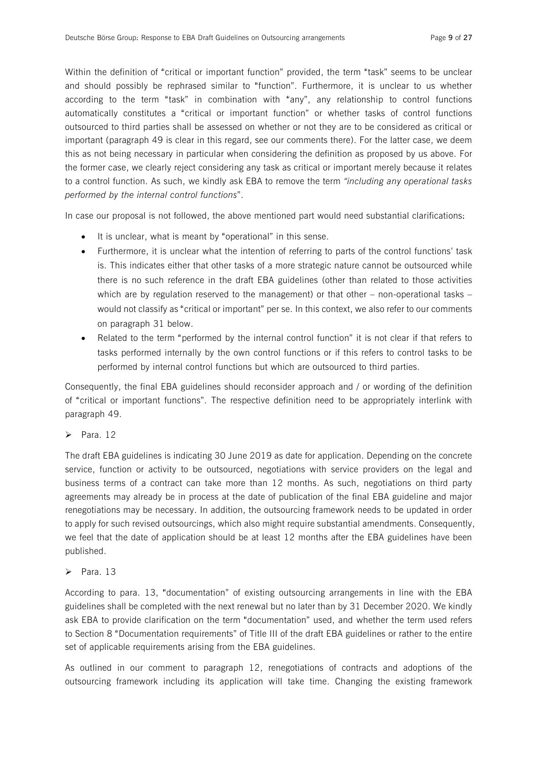Within the definition of "critical or important function" provided, the term "task" seems to be unclear and should possibly be rephrased similar to "function". Furthermore, it is unclear to us whether according to the term "task" in combination with "any", any relationship to control functions automatically constitutes a "critical or important function" or whether tasks of control functions outsourced to third parties shall be assessed on whether or not they are to be considered as critical or important (paragraph 49 is clear in this regard, see our comments there). For the latter case, we deem this as not being necessary in particular when considering the definition as proposed by us above. For the former case, we clearly reject considering any task as critical or important merely because it relates to a control function. As such, we kindly ask EBA to remove the term *"including any operational tasks performed by the internal control functions*".

In case our proposal is not followed, the above mentioned part would need substantial clarifications:

- It is unclear, what is meant by "operational" in this sense.
- · Furthermore, it is unclear what the intention of referring to parts of the control functions' task is. This indicates either that other tasks of a more strategic nature cannot be outsourced while there is no such reference in the draft EBA guidelines (other than related to those activities which are by regulation reserved to the management) or that other – non-operational tasks – would not classify as "critical or important" per se. In this context, we also refer to our comments on paragraph 31 below.
- Related to the term "performed by the internal control function" it is not clear if that refers to tasks performed internally by the own control functions or if this refers to control tasks to be performed by internal control functions but which are outsourced to third parties.

Consequently, the final EBA guidelines should reconsider approach and / or wording of the definition of "critical or important functions". The respective definition need to be appropriately interlink with paragraph 49.

 $\triangleright$  Para. 12

The draft EBA guidelines is indicating 30 June 2019 as date for application. Depending on the concrete service, function or activity to be outsourced, negotiations with service providers on the legal and business terms of a contract can take more than 12 months. As such, negotiations on third party agreements may already be in process at the date of publication of the final EBA guideline and major renegotiations may be necessary. In addition, the outsourcing framework needs to be updated in order to apply for such revised outsourcings, which also might require substantial amendments. Consequently, we feel that the date of application should be at least 12 months after the EBA guidelines have been published.

 $\triangleright$  Para. 13

According to para. 13, "documentation" of existing outsourcing arrangements in line with the EBA guidelines shall be completed with the next renewal but no later than by 31 December 2020. We kindly ask EBA to provide clarification on the term "documentation" used, and whether the term used refers to Section 8 "Documentation requirements" of Title III of the draft EBA guidelines or rather to the entire set of applicable requirements arising from the EBA guidelines.

As outlined in our comment to paragraph 12, renegotiations of contracts and adoptions of the outsourcing framework including its application will take time. Changing the existing framework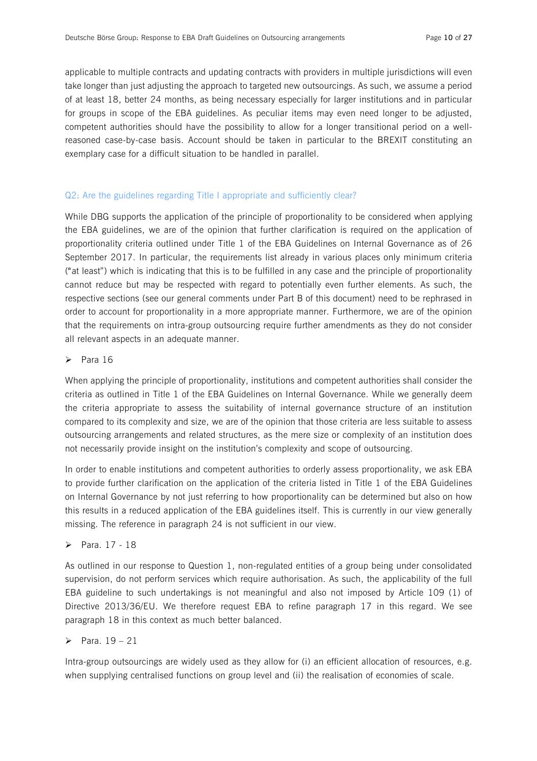applicable to multiple contracts and updating contracts with providers in multiple jurisdictions will even take longer than just adjusting the approach to targeted new outsourcings. As such, we assume a period of at least 18, better 24 months, as being necessary especially for larger institutions and in particular for groups in scope of the EBA guidelines. As peculiar items may even need longer to be adjusted, competent authorities should have the possibility to allow for a longer transitional period on a wellreasoned case-by-case basis. Account should be taken in particular to the BREXIT constituting an exemplary case for a difficult situation to be handled in parallel.

#### Q2: Are the guidelines regarding Title I appropriate and sufficiently clear?

While DBG supports the application of the principle of proportionality to be considered when applying the EBA guidelines, we are of the opinion that further clarification is required on the application of proportionality criteria outlined under Title 1 of the EBA Guidelines on Internal Governance as of 26 September 2017. In particular, the requirements list already in various places only minimum criteria ("at least") which is indicating that this is to be fulfilled in any case and the principle of proportionality cannot reduce but may be respected with regard to potentially even further elements. As such, the respective sections (see our general comments under Part B of this document) need to be rephrased in order to account for proportionality in a more appropriate manner. Furthermore, we are of the opinion that the requirements on intra-group outsourcing require further amendments as they do not consider all relevant aspects in an adequate manner.

#### $\triangleright$  Para 16

When applying the principle of proportionality, institutions and competent authorities shall consider the criteria as outlined in Title 1 of the EBA Guidelines on Internal Governance. While we generally deem the criteria appropriate to assess the suitability of internal governance structure of an institution compared to its complexity and size, we are of the opinion that those criteria are less suitable to assess outsourcing arrangements and related structures, as the mere size or complexity of an institution does not necessarily provide insight on the institution's complexity and scope of outsourcing.

In order to enable institutions and competent authorities to orderly assess proportionality, we ask EBA to provide further clarification on the application of the criteria listed in Title 1 of the EBA Guidelines on Internal Governance by not just referring to how proportionality can be determined but also on how this results in a reduced application of the EBA guidelines itself. This is currently in our view generally missing. The reference in paragraph 24 is not sufficient in our view.

#### $\triangleright$  Para. 17 - 18

As outlined in our response to Question 1, non-regulated entities of a group being under consolidated supervision, do not perform services which require authorisation. As such, the applicability of the full EBA guideline to such undertakings is not meaningful and also not imposed by Article 109 (1) of Directive 2013/36/EU. We therefore request EBA to refine paragraph 17 in this regard. We see paragraph 18 in this context as much better balanced.

## $\triangleright$  Para. 19 – 21

Intra-group outsourcings are widely used as they allow for (i) an efficient allocation of resources, e.g. when supplying centralised functions on group level and (ii) the realisation of economies of scale.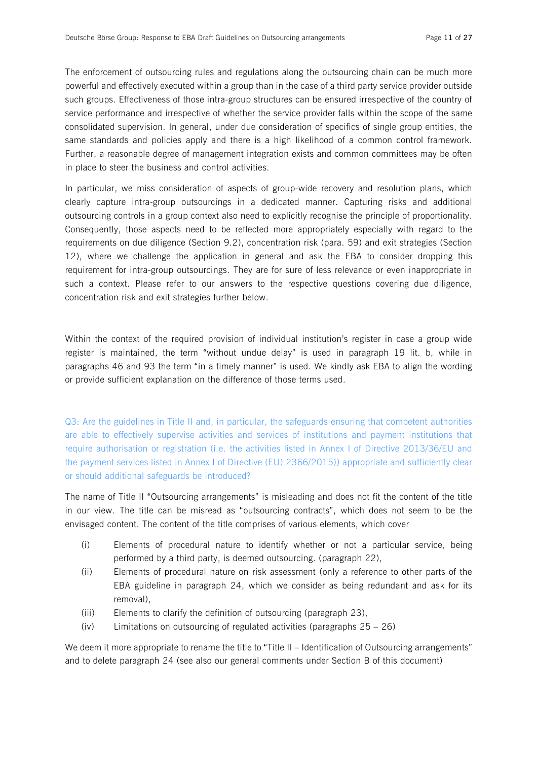The enforcement of outsourcing rules and regulations along the outsourcing chain can be much more powerful and effectively executed within a group than in the case of a third party service provider outside such groups. Effectiveness of those intra-group structures can be ensured irrespective of the country of service performance and irrespective of whether the service provider falls within the scope of the same consolidated supervision. In general, under due consideration of specifics of single group entities, the same standards and policies apply and there is a high likelihood of a common control framework. Further, a reasonable degree of management integration exists and common committees may be often in place to steer the business and control activities.

In particular, we miss consideration of aspects of group-wide recovery and resolution plans, which clearly capture intra-group outsourcings in a dedicated manner. Capturing risks and additional outsourcing controls in a group context also need to explicitly recognise the principle of proportionality. Consequently, those aspects need to be reflected more appropriately especially with regard to the requirements on due diligence (Section 9.2), concentration risk (para. 59) and exit strategies (Section 12), where we challenge the application in general and ask the EBA to consider dropping this requirement for intra-group outsourcings. They are for sure of less relevance or even inappropriate in such a context. Please refer to our answers to the respective questions covering due diligence, concentration risk and exit strategies further below.

Within the context of the required provision of individual institution's register in case a group wide register is maintained, the term "without undue delay" is used in paragraph 19 lit. b, while in paragraphs 46 and 93 the term "in a timely manner" is used. We kindly ask EBA to align the wording or provide sufficient explanation on the difference of those terms used.

Q3: Are the guidelines in Title II and, in particular, the safeguards ensuring that competent authorities are able to effectively supervise activities and services of institutions and payment institutions that require authorisation or registration (i.e. the activities listed in Annex I of Directive 2013/36/EU and the payment services listed in Annex I of Directive (EU) 2366/2015)) appropriate and sufficiently clear or should additional safeguards be introduced?

The name of Title II "Outsourcing arrangements" is misleading and does not fit the content of the title in our view. The title can be misread as "outsourcing contracts", which does not seem to be the envisaged content. The content of the title comprises of various elements, which cover

- (i) Elements of procedural nature to identify whether or not a particular service, being performed by a third party, is deemed outsourcing. (paragraph 22),
- (ii) Elements of procedural nature on risk assessment (only a reference to other parts of the EBA guideline in paragraph 24, which we consider as being redundant and ask for its removal),
- (iii) Elements to clarify the definition of outsourcing (paragraph 23),
- (iv) Limitations on outsourcing of regulated activities (paragraphs 25 26)

We deem it more appropriate to rename the title to "Title II – Identification of Outsourcing arrangements" and to delete paragraph 24 (see also our general comments under Section B of this document)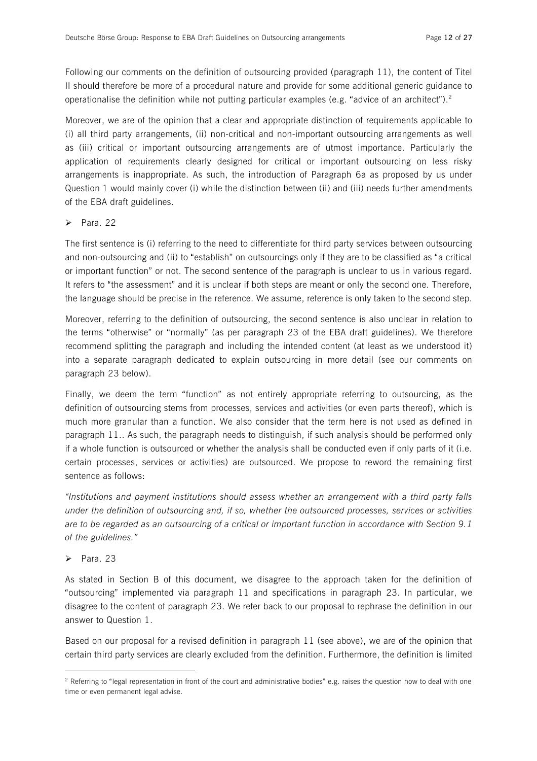Following our comments on the definition of outsourcing provided (paragraph 11), the content of Titel II should therefore be more of a procedural nature and provide for some additional generic guidance to operationalise the definition while not putting particular examples (e.g. "advice of an architect").<sup>2</sup>

Moreover, we are of the opinion that a clear and appropriate distinction of requirements applicable to (i) all third party arrangements, (ii) non-critical and non-important outsourcing arrangements as well as (iii) critical or important outsourcing arrangements are of utmost importance. Particularly the application of requirements clearly designed for critical or important outsourcing on less risky arrangements is inappropriate. As such, the introduction of Paragraph 6a as proposed by us under Question 1 would mainly cover (i) while the distinction between (ii) and (iii) needs further amendments of the EBA draft guidelines.

#### $\triangleright$  Para. 22

The first sentence is (i) referring to the need to differentiate for third party services between outsourcing and non-outsourcing and (ii) to "establish" on outsourcings only if they are to be classified as "a critical or important function" or not. The second sentence of the paragraph is unclear to us in various regard. It refers to "the assessment" and it is unclear if both steps are meant or only the second one. Therefore, the language should be precise in the reference. We assume, reference is only taken to the second step.

Moreover, referring to the definition of outsourcing, the second sentence is also unclear in relation to the terms "otherwise" or "normally" (as per paragraph 23 of the EBA draft guidelines). We therefore recommend splitting the paragraph and including the intended content (at least as we understood it) into a separate paragraph dedicated to explain outsourcing in more detail (see our comments on paragraph 23 below).

Finally, we deem the term "function" as not entirely appropriate referring to outsourcing, as the definition of outsourcing stems from processes, services and activities (or even parts thereof), which is much more granular than a function. We also consider that the term here is not used as defined in paragraph 11.. As such, the paragraph needs to distinguish, if such analysis should be performed only if a whole function is outsourced or whether the analysis shall be conducted even if only parts of it (i.e. certain processes, services or activities) are outsourced. We propose to reword the remaining first sentence as follows:

*"Institutions and payment institutions should assess whether an arrangement with a third party falls under the definition of outsourcing and, if so, whether the outsourced processes, services or activities*  are to be regarded as an outsourcing of a critical or important function in accordance with Section 9.1 *of the guidelines."* 

#### $\triangleright$  Para. 23

 $\overline{a}$ 

As stated in Section B of this document, we disagree to the approach taken for the definition of "outsourcing" implemented via paragraph 11 and specifications in paragraph 23. In particular, we disagree to the content of paragraph 23. We refer back to our proposal to rephrase the definition in our answer to Question 1.

Based on our proposal for a revised definition in paragraph 11 (see above), we are of the opinion that certain third party services are clearly excluded from the definition. Furthermore, the definition is limited

<sup>&</sup>lt;sup>2</sup> Referring to "legal representation in front of the court and administrative bodies" e.g. raises the question how to deal with one time or even permanent legal advise.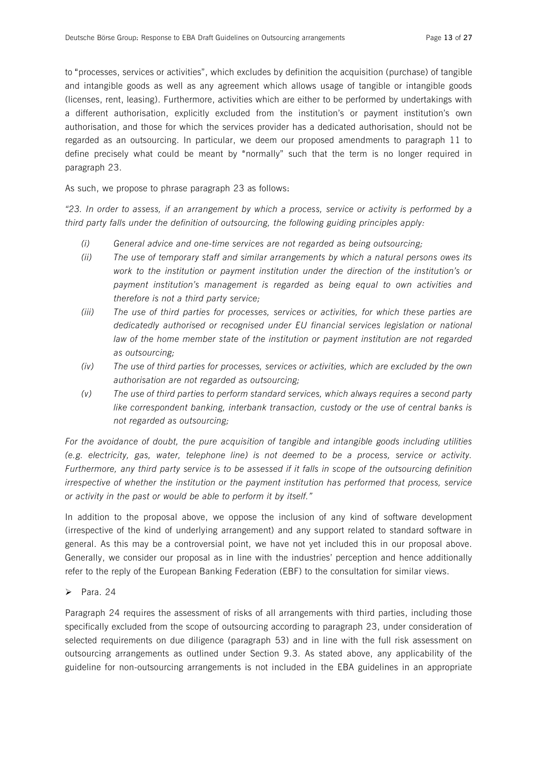to "processes, services or activities", which excludes by definition the acquisition (purchase) of tangible and intangible goods as well as any agreement which allows usage of tangible or intangible goods (licenses, rent, leasing). Furthermore, activities which are either to be performed by undertakings with a different authorisation, explicitly excluded from the institution's or payment institution's own authorisation, and those for which the services provider has a dedicated authorisation, should not be regarded as an outsourcing. In particular, we deem our proposed amendments to paragraph 11 to define precisely what could be meant by "normally" such that the term is no longer required in paragraph 23.

As such, we propose to phrase paragraph 23 as follows:

"23. In order to assess, if an arrangement by which a process, service or activity is performed by a *third party falls under the definition of outsourcing, the following guiding principles apply:* 

- *(i) General advice and one-time services are not regarded as being outsourcing;*
- *(ii) The use of temporary staff and similar arrangements by which a natural persons owes its work to the institution or payment institution under the direction of the institution's or payment institution's management is regarded as being equal to own activities and therefore is not a third party service;*
- *(iii) The use of third parties for processes, services or activities, for which these parties are dedicatedly authorised or recognised under EU financial services legislation or national law of the home member state of the institution or payment institution are not regarded as outsourcing;*
- *(iv) The use of third parties for processes, services or activities, which are excluded by the own authorisation are not regarded as outsourcing;*
- *(v) The use of third parties to perform standard services, which always requires a second party like correspondent banking, interbank transaction, custody or the use of central banks is not regarded as outsourcing;*

*For the avoidance of doubt, the pure acquisition of tangible and intangible goods including utilities (e.g. electricity, gas, water, telephone line) is not deemed to be a process, service or activity.*  Furthermore, any third party service is to be assessed if it falls in scope of the outsourcing definition *irrespective of whether the institution or the payment institution has performed that process, service or activity in the past or would be able to perform it by itself."* 

In addition to the proposal above, we oppose the inclusion of any kind of software development (irrespective of the kind of underlying arrangement) and any support related to standard software in general. As this may be a controversial point, we have not yet included this in our proposal above. Generally, we consider our proposal as in line with the industries' perception and hence additionally refer to the reply of the European Banking Federation (EBF) to the consultation for similar views.

 $\triangleright$  Para. 24

Paragraph 24 requires the assessment of risks of all arrangements with third parties, including those specifically excluded from the scope of outsourcing according to paragraph 23, under consideration of selected requirements on due diligence (paragraph 53) and in line with the full risk assessment on outsourcing arrangements as outlined under Section 9.3. As stated above, any applicability of the guideline for non-outsourcing arrangements is not included in the EBA guidelines in an appropriate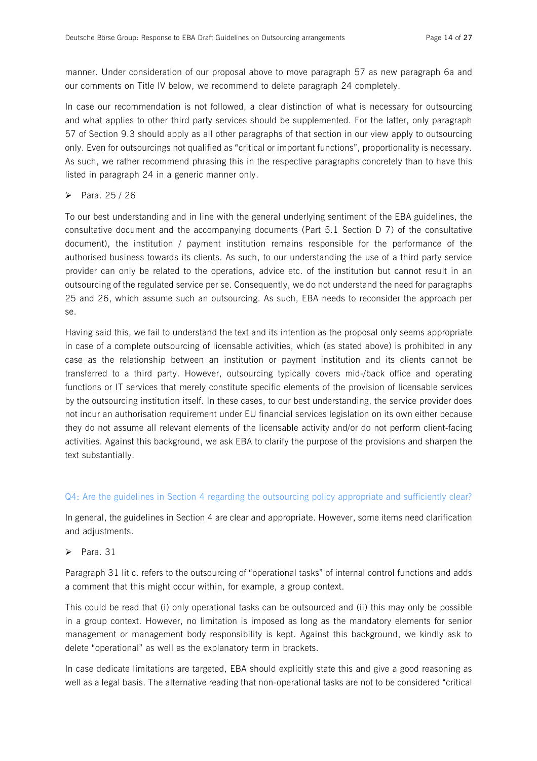manner. Under consideration of our proposal above to move paragraph 57 as new paragraph 6a and our comments on Title IV below, we recommend to delete paragraph 24 completely.

In case our recommendation is not followed, a clear distinction of what is necessary for outsourcing and what applies to other third party services should be supplemented. For the latter, only paragraph 57 of Section 9.3 should apply as all other paragraphs of that section in our view apply to outsourcing only. Even for outsourcings not qualified as "critical or important functions", proportionality is necessary. As such, we rather recommend phrasing this in the respective paragraphs concretely than to have this listed in paragraph 24 in a generic manner only.

#### $\triangleright$  Para. 25 / 26

To our best understanding and in line with the general underlying sentiment of the EBA guidelines, the consultative document and the accompanying documents (Part 5.1 Section D 7) of the consultative document), the institution / payment institution remains responsible for the performance of the authorised business towards its clients. As such, to our understanding the use of a third party service provider can only be related to the operations, advice etc. of the institution but cannot result in an outsourcing of the regulated service per se. Consequently, we do not understand the need for paragraphs 25 and 26, which assume such an outsourcing. As such, EBA needs to reconsider the approach per se.

Having said this, we fail to understand the text and its intention as the proposal only seems appropriate in case of a complete outsourcing of licensable activities, which (as stated above) is prohibited in any case as the relationship between an institution or payment institution and its clients cannot be transferred to a third party. However, outsourcing typically covers mid-/back office and operating functions or IT services that merely constitute specific elements of the provision of licensable services by the outsourcing institution itself. In these cases, to our best understanding, the service provider does not incur an authorisation requirement under EU financial services legislation on its own either because they do not assume all relevant elements of the licensable activity and/or do not perform client-facing activities. Against this background, we ask EBA to clarify the purpose of the provisions and sharpen the text substantially.

#### Q4: Are the guidelines in Section 4 regarding the outsourcing policy appropriate and sufficiently clear?

In general, the guidelines in Section 4 are clear and appropriate. However, some items need clarification and adjustments.

 $\triangleright$  Para. 31

Paragraph 31 lit c. refers to the outsourcing of "operational tasks" of internal control functions and adds a comment that this might occur within, for example, a group context.

This could be read that (i) only operational tasks can be outsourced and (ii) this may only be possible in a group context. However, no limitation is imposed as long as the mandatory elements for senior management or management body responsibility is kept. Against this background, we kindly ask to delete "operational" as well as the explanatory term in brackets.

In case dedicate limitations are targeted, EBA should explicitly state this and give a good reasoning as well as a legal basis. The alternative reading that non-operational tasks are not to be considered "critical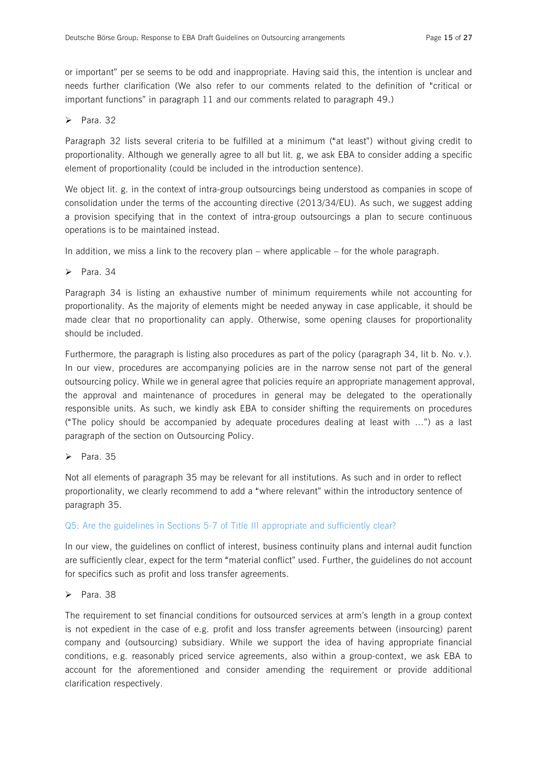or important" per se seems to be odd and inappropriate. Having said this, the intention is unclear and needs further clarification (We also refer to our comments related to the definition of "critical or important functions" in paragraph 11 and our comments related to paragraph 49.)

#### $\triangleright$  Para. 32

Paragraph 32 lists several criteria to be fulfilled at a minimum ("at least") without giving credit to proportionality. Although we generally agree to all but lit. g, we ask EBA to consider adding a specific element of proportionality (could be included in the introduction sentence).

We object lit. g. in the context of intra-group outsourcings being understood as companies in scope of consolidation under the terms of the accounting directive (2013/34/EU). As such, we suggest adding a provision specifying that in the context of intra-group outsourcings a plan to secure continuous operations is to be maintained instead.

In addition, we miss a link to the recovery plan – where applicable – for the whole paragraph.

 $\triangleright$  Para. 34

Paragraph 34 is listing an exhaustive number of minimum requirements while not accounting for proportionality. As the majority of elements might be needed anyway in case applicable, it should be made clear that no proportionality can apply. Otherwise, some opening clauses for proportionality should be included.

Furthermore, the paragraph is listing also procedures as part of the policy (paragraph 34, lit b. No. v.). In our view, procedures are accompanying policies are in the narrow sense not part of the general outsourcing policy. While we in general agree that policies require an appropriate management approval, the approval and maintenance of procedures in general may be delegated to the operationally responsible units. As such, we kindly ask EBA to consider shifting the requirements on procedures ("The policy should be accompanied by adequate procedures dealing at least with …") as a last paragraph of the section on Outsourcing Policy.

 $\triangleright$  Para. 35

Not all elements of paragraph 35 may be relevant for all institutions. As such and in order to reflect proportionality, we clearly recommend to add a "where relevant" within the introductory sentence of paragraph 35.

#### Q5: Are the guidelines in Sections 5-7 of Title III appropriate and sufficiently clear?

In our view, the guidelines on conflict of interest, business continuity plans and internal audit function are sufficiently clear, expect for the term "material conflict" used. Further, the guidelines do not account for specifics such as profit and loss transfer agreements.

#### $\triangleright$  Para. 38

The requirement to set financial conditions for outsourced services at arm's length in a group context is not expedient in the case of e.g. profit and loss transfer agreements between (insourcing) parent company and (outsourcing) subsidiary. While we support the idea of having appropriate financial conditions, e.g. reasonably priced service agreements, also within a group-context, we ask EBA to account for the aforementioned and consider amending the requirement or provide additional clarification respectively.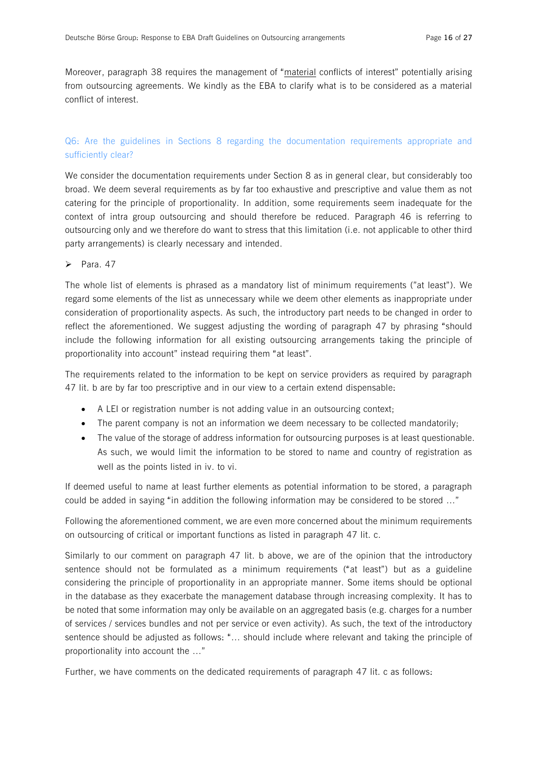Moreover, paragraph 38 requires the management of "material conflicts of interest" potentially arising from outsourcing agreements. We kindly as the EBA to clarify what is to be considered as a material conflict of interest.

## Q6: Are the guidelines in Sections 8 regarding the documentation requirements appropriate and sufficiently clear?

We consider the documentation requirements under Section 8 as in general clear, but considerably too broad. We deem several requirements as by far too exhaustive and prescriptive and value them as not catering for the principle of proportionality. In addition, some requirements seem inadequate for the context of intra group outsourcing and should therefore be reduced. Paragraph 46 is referring to outsourcing only and we therefore do want to stress that this limitation (i.e. not applicable to other third party arrangements) is clearly necessary and intended.

 $\triangleright$  Para. 47

The whole list of elements is phrased as a mandatory list of minimum requirements ("at least"). We regard some elements of the list as unnecessary while we deem other elements as inappropriate under consideration of proportionality aspects. As such, the introductory part needs to be changed in order to reflect the aforementioned. We suggest adjusting the wording of paragraph 47 by phrasing "should include the following information for all existing outsourcing arrangements taking the principle of proportionality into account" instead requiring them "at least".

The requirements related to the information to be kept on service providers as required by paragraph 47 lit. b are by far too prescriptive and in our view to a certain extend dispensable:

- A LEI or registration number is not adding value in an outsourcing context;
- The parent company is not an information we deem necessary to be collected mandatorily;
- · The value of the storage of address information for outsourcing purposes is at least questionable. As such, we would limit the information to be stored to name and country of registration as well as the points listed in iv. to vi.

If deemed useful to name at least further elements as potential information to be stored, a paragraph could be added in saying "in addition the following information may be considered to be stored …"

Following the aforementioned comment, we are even more concerned about the minimum requirements on outsourcing of critical or important functions as listed in paragraph 47 lit. c.

Similarly to our comment on paragraph 47 lit. b above, we are of the opinion that the introductory sentence should not be formulated as a minimum requirements ("at least") but as a guideline considering the principle of proportionality in an appropriate manner. Some items should be optional in the database as they exacerbate the management database through increasing complexity. It has to be noted that some information may only be available on an aggregated basis (e.g. charges for a number of services / services bundles and not per service or even activity). As such, the text of the introductory sentence should be adjusted as follows: "… should include where relevant and taking the principle of proportionality into account the …"

Further, we have comments on the dedicated requirements of paragraph 47 lit. c as follows: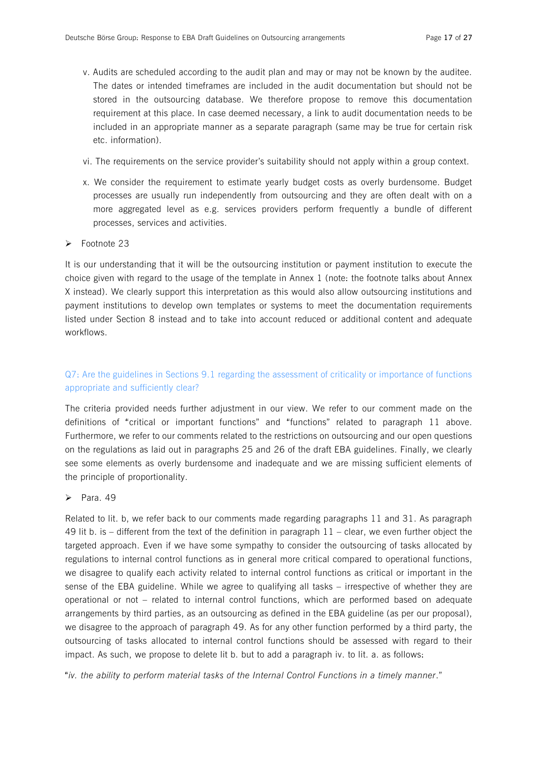- v. Audits are scheduled according to the audit plan and may or may not be known by the auditee. The dates or intended timeframes are included in the audit documentation but should not be stored in the outsourcing database. We therefore propose to remove this documentation requirement at this place. In case deemed necessary, a link to audit documentation needs to be included in an appropriate manner as a separate paragraph (same may be true for certain risk etc. information).
- vi. The requirements on the service provider's suitability should not apply within a group context.
- x. We consider the requirement to estimate yearly budget costs as overly burdensome. Budget processes are usually run independently from outsourcing and they are often dealt with on a more aggregated level as e.g. services providers perform frequently a bundle of different processes, services and activities.
- $\blacktriangleright$  Footnote 23

It is our understanding that it will be the outsourcing institution or payment institution to execute the choice given with regard to the usage of the template in Annex 1 (note: the footnote talks about Annex X instead). We clearly support this interpretation as this would also allow outsourcing institutions and payment institutions to develop own templates or systems to meet the documentation requirements listed under Section 8 instead and to take into account reduced or additional content and adequate workflows.

## Q7: Are the guidelines in Sections 9.1 regarding the assessment of criticality or importance of functions appropriate and sufficiently clear?

The criteria provided needs further adjustment in our view. We refer to our comment made on the definitions of "critical or important functions" and "functions" related to paragraph 11 above. Furthermore, we refer to our comments related to the restrictions on outsourcing and our open questions on the regulations as laid out in paragraphs 25 and 26 of the draft EBA guidelines. Finally, we clearly see some elements as overly burdensome and inadequate and we are missing sufficient elements of the principle of proportionality.

#### $\triangleright$  Para. 49

Related to lit. b, we refer back to our comments made regarding paragraphs 11 and 31. As paragraph 49 lit b. is – different from the text of the definition in paragraph 11 – clear, we even further object the targeted approach. Even if we have some sympathy to consider the outsourcing of tasks allocated by regulations to internal control functions as in general more critical compared to operational functions, we disagree to qualify each activity related to internal control functions as critical or important in the sense of the EBA guideline. While we agree to qualifying all tasks – irrespective of whether they are operational or not – related to internal control functions, which are performed based on adequate arrangements by third parties, as an outsourcing as defined in the EBA guideline (as per our proposal), we disagree to the approach of paragraph 49. As for any other function performed by a third party, the outsourcing of tasks allocated to internal control functions should be assessed with regard to their impact. As such, we propose to delete lit b. but to add a paragraph iv. to lit. a. as follows:

"*iv. the ability to perform material tasks of the Internal Control Functions in a timely manner*."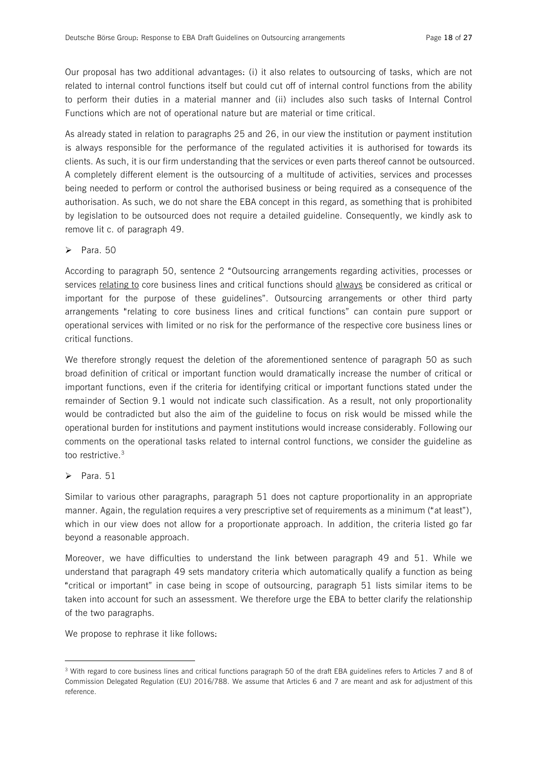Our proposal has two additional advantages: (i) it also relates to outsourcing of tasks, which are not related to internal control functions itself but could cut off of internal control functions from the ability to perform their duties in a material manner and (ii) includes also such tasks of Internal Control Functions which are not of operational nature but are material or time critical.

As already stated in relation to paragraphs 25 and 26, in our view the institution or payment institution is always responsible for the performance of the regulated activities it is authorised for towards its clients. As such, it is our firm understanding that the services or even parts thereof cannot be outsourced. A completely different element is the outsourcing of a multitude of activities, services and processes being needed to perform or control the authorised business or being required as a consequence of the authorisation. As such, we do not share the EBA concept in this regard, as something that is prohibited by legislation to be outsourced does not require a detailed guideline. Consequently, we kindly ask to remove lit c. of paragraph 49.

#### $\triangleright$  Para. 50

According to paragraph 50, sentence 2 "Outsourcing arrangements regarding activities, processes or services relating to core business lines and critical functions should always be considered as critical or important for the purpose of these guidelines". Outsourcing arrangements or other third party arrangements "relating to core business lines and critical functions" can contain pure support or operational services with limited or no risk for the performance of the respective core business lines or critical functions.

We therefore strongly request the deletion of the aforementioned sentence of paragraph 50 as such broad definition of critical or important function would dramatically increase the number of critical or important functions, even if the criteria for identifying critical or important functions stated under the remainder of Section 9.1 would not indicate such classification. As a result, not only proportionality would be contradicted but also the aim of the guideline to focus on risk would be missed while the operational burden for institutions and payment institutions would increase considerably. Following our comments on the operational tasks related to internal control functions, we consider the guideline as too restrictive.<sup>3</sup>

## $\triangleright$  Para. 51

l

Similar to various other paragraphs, paragraph 51 does not capture proportionality in an appropriate manner. Again, the regulation requires a very prescriptive set of requirements as a minimum ("at least"), which in our view does not allow for a proportionate approach. In addition, the criteria listed go far beyond a reasonable approach.

Moreover, we have difficulties to understand the link between paragraph 49 and 51. While we understand that paragraph 49 sets mandatory criteria which automatically qualify a function as being "critical or important" in case being in scope of outsourcing, paragraph 51 lists similar items to be taken into account for such an assessment. We therefore urge the EBA to better clarify the relationship of the two paragraphs.

We propose to rephrase it like follows:

 $^3$  With regard to core business lines and critical functions paragraph 50 of the draft EBA guidelines refers to Articles 7 and 8 of Commission Delegated Regulation (EU) 2016/788. We assume that Articles 6 and 7 are meant and ask for adjustment of this reference.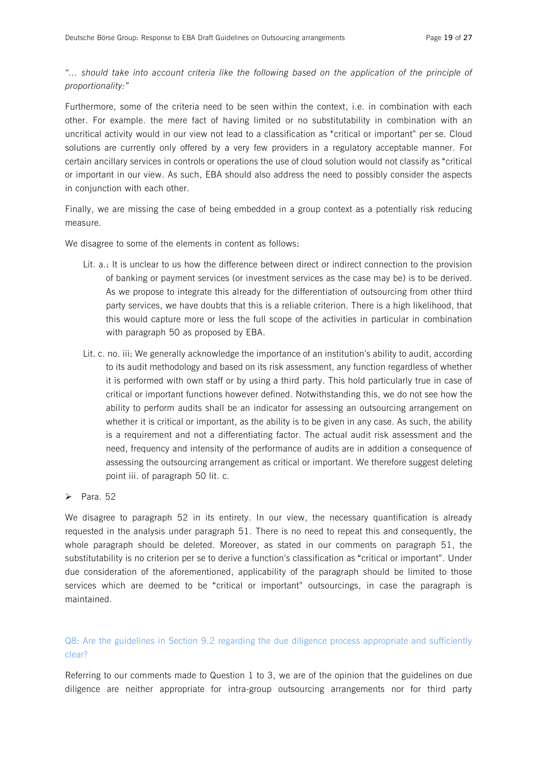## *"… should take into account criteria like the following based on the application of the principle of proportionality:"*

Furthermore, some of the criteria need to be seen within the context, i.e. in combination with each other. For example. the mere fact of having limited or no substitutability in combination with an uncritical activity would in our view not lead to a classification as "critical or important" per se. Cloud solutions are currently only offered by a very few providers in a regulatory acceptable manner. For certain ancillary services in controls or operations the use of cloud solution would not classify as "critical or important in our view. As such, EBA should also address the need to possibly consider the aspects in conjunction with each other.

Finally, we are missing the case of being embedded in a group context as a potentially risk reducing measure.

We disagree to some of the elements in content as follows:

- Lit. a.: It is unclear to us how the difference between direct or indirect connection to the provision of banking or payment services (or investment services as the case may be) is to be derived. As we propose to integrate this already for the differentiation of outsourcing from other third party services, we have doubts that this is a reliable criterion. There is a high likelihood, that this would capture more or less the full scope of the activities in particular in combination with paragraph 50 as proposed by EBA.
- Lit. c. no. iii: We generally acknowledge the importance of an institution's ability to audit, according to its audit methodology and based on its risk assessment, any function regardless of whether it is performed with own staff or by using a third party. This hold particularly true in case of critical or important functions however defined. Notwithstanding this, we do not see how the ability to perform audits shall be an indicator for assessing an outsourcing arrangement on whether it is critical or important, as the ability is to be given in any case. As such, the ability is a requirement and not a differentiating factor. The actual audit risk assessment and the need, frequency and intensity of the performance of audits are in addition a consequence of assessing the outsourcing arrangement as critical or important. We therefore suggest deleting point iii. of paragraph 50 lit. c.

#### $\triangleright$  Para. 52

We disagree to paragraph 52 in its entirety. In our view, the necessary quantification is already requested in the analysis under paragraph 51. There is no need to repeat this and consequently, the whole paragraph should be deleted. Moreover, as stated in our comments on paragraph 51, the substitutability is no criterion per se to derive a function's classification as "critical or important". Under due consideration of the aforementioned, applicability of the paragraph should be limited to those services which are deemed to be "critical or important" outsourcings, in case the paragraph is maintained.

## Q8: Are the guidelines in Section 9.2 regarding the due diligence process appropriate and sufficiently clear?

Referring to our comments made to Question 1 to 3, we are of the opinion that the guidelines on due diligence are neither appropriate for intra-group outsourcing arrangements nor for third party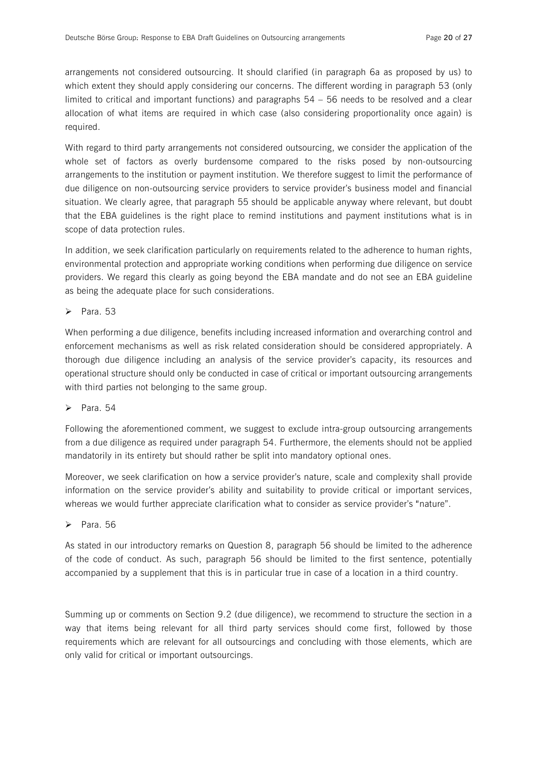arrangements not considered outsourcing. It should clarified (in paragraph 6a as proposed by us) to which extent they should apply considering our concerns. The different wording in paragraph 53 (only limited to critical and important functions) and paragraphs 54 – 56 needs to be resolved and a clear allocation of what items are required in which case (also considering proportionality once again) is required.

With regard to third party arrangements not considered outsourcing, we consider the application of the whole set of factors as overly burdensome compared to the risks posed by non-outsourcing arrangements to the institution or payment institution. We therefore suggest to limit the performance of due diligence on non-outsourcing service providers to service provider's business model and financial situation. We clearly agree, that paragraph 55 should be applicable anyway where relevant, but doubt that the EBA guidelines is the right place to remind institutions and payment institutions what is in scope of data protection rules.

In addition, we seek clarification particularly on requirements related to the adherence to human rights, environmental protection and appropriate working conditions when performing due diligence on service providers. We regard this clearly as going beyond the EBA mandate and do not see an EBA guideline as being the adequate place for such considerations.

 $\triangleright$  Para. 53

When performing a due diligence, benefits including increased information and overarching control and enforcement mechanisms as well as risk related consideration should be considered appropriately. A thorough due diligence including an analysis of the service provider's capacity, its resources and operational structure should only be conducted in case of critical or important outsourcing arrangements with third parties not belonging to the same group.

 $\triangleright$  Para. 54

Following the aforementioned comment, we suggest to exclude intra-group outsourcing arrangements from a due diligence as required under paragraph 54. Furthermore, the elements should not be applied mandatorily in its entirety but should rather be split into mandatory optional ones.

Moreover, we seek clarification on how a service provider's nature, scale and complexity shall provide information on the service provider's ability and suitability to provide critical or important services, whereas we would further appreciate clarification what to consider as service provider's "nature".

 $\triangleright$  Para. 56

As stated in our introductory remarks on Question 8, paragraph 56 should be limited to the adherence of the code of conduct. As such, paragraph 56 should be limited to the first sentence, potentially accompanied by a supplement that this is in particular true in case of a location in a third country.

Summing up or comments on Section 9.2 (due diligence), we recommend to structure the section in a way that items being relevant for all third party services should come first, followed by those requirements which are relevant for all outsourcings and concluding with those elements, which are only valid for critical or important outsourcings.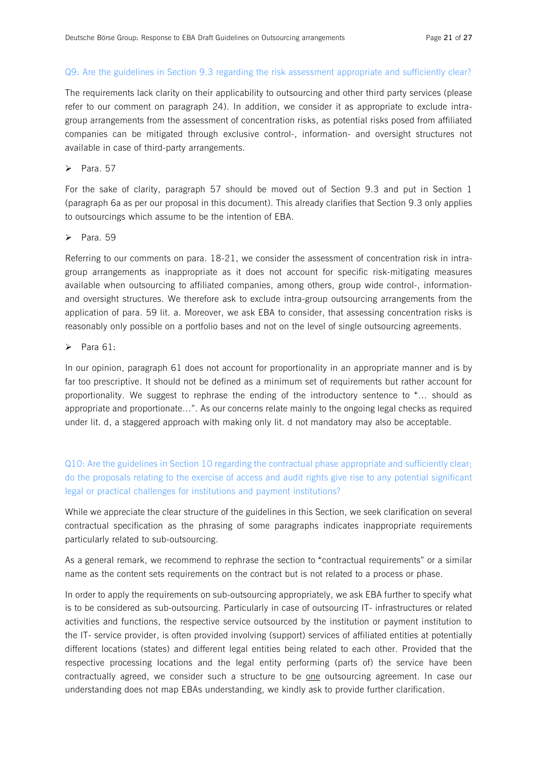#### Q9: Are the guidelines in Section 9.3 regarding the risk assessment appropriate and sufficiently clear?

The requirements lack clarity on their applicability to outsourcing and other third party services (please refer to our comment on paragraph 24). In addition, we consider it as appropriate to exclude intragroup arrangements from the assessment of concentration risks, as potential risks posed from affiliated companies can be mitigated through exclusive control-, information- and oversight structures not available in case of third-party arrangements.

 $\triangleright$  Para 57

For the sake of clarity, paragraph 57 should be moved out of Section 9.3 and put in Section 1 (paragraph 6a as per our proposal in this document). This already clarifies that Section 9.3 only applies to outsourcings which assume to be the intention of EBA.

 $\triangleright$  Para. 59

Referring to our comments on para. 18-21, we consider the assessment of concentration risk in intragroup arrangements as inappropriate as it does not account for specific risk-mitigating measures available when outsourcing to affiliated companies, among others, group wide control-, informationand oversight structures. We therefore ask to exclude intra-group outsourcing arrangements from the application of para. 59 lit. a. Moreover, we ask EBA to consider, that assessing concentration risks is reasonably only possible on a portfolio bases and not on the level of single outsourcing agreements.

 $\triangleright$  Para 61:

In our opinion, paragraph 61 does not account for proportionality in an appropriate manner and is by far too prescriptive. It should not be defined as a minimum set of requirements but rather account for proportionality. We suggest to rephrase the ending of the introductory sentence to "… should as appropriate and proportionate…". As our concerns relate mainly to the ongoing legal checks as required under lit. d, a staggered approach with making only lit. d not mandatory may also be acceptable.

Q10: Are the guidelines in Section 10 regarding the contractual phase appropriate and sufficiently clear; do the proposals relating to the exercise of access and audit rights give rise to any potential significant legal or practical challenges for institutions and payment institutions?

While we appreciate the clear structure of the guidelines in this Section, we seek clarification on several contractual specification as the phrasing of some paragraphs indicates inappropriate requirements particularly related to sub-outsourcing.

As a general remark, we recommend to rephrase the section to "contractual requirements" or a similar name as the content sets requirements on the contract but is not related to a process or phase.

In order to apply the requirements on sub-outsourcing appropriately, we ask EBA further to specify what is to be considered as sub-outsourcing. Particularly in case of outsourcing IT- infrastructures or related activities and functions, the respective service outsourced by the institution or payment institution to the IT- service provider, is often provided involving (support) services of affiliated entities at potentially different locations (states) and different legal entities being related to each other. Provided that the respective processing locations and the legal entity performing (parts of) the service have been contractually agreed, we consider such a structure to be one outsourcing agreement. In case our understanding does not map EBAs understanding, we kindly ask to provide further clarification.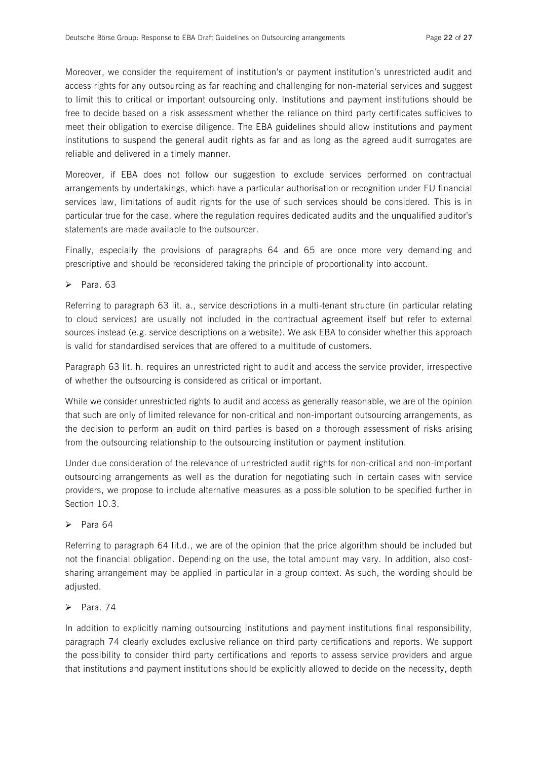Moreover, we consider the requirement of institution's or payment institution's unrestricted audit and access rights for any outsourcing as far reaching and challenging for non-material services and suggest to limit this to critical or important outsourcing only. Institutions and payment institutions should be free to decide based on a risk assessment whether the reliance on third party certificates sufficives to meet their obligation to exercise diligence. The EBA guidelines should allow institutions and payment institutions to suspend the general audit rights as far and as long as the agreed audit surrogates are reliable and delivered in a timely manner.

Moreover, if EBA does not follow our suggestion to exclude services performed on contractual arrangements by undertakings, which have a particular authorisation or recognition under EU financial services law, limitations of audit rights for the use of such services should be considered. This is in particular true for the case, where the regulation requires dedicated audits and the unqualified auditor's statements are made available to the outsourcer.

Finally, especially the provisions of paragraphs 64 and 65 are once more very demanding and prescriptive and should be reconsidered taking the principle of proportionality into account.

 $\triangleright$  Para, 63

Referring to paragraph 63 lit. a., service descriptions in a multi-tenant structure (in particular relating to cloud services) are usually not included in the contractual agreement itself but refer to external sources instead (e.g. service descriptions on a website). We ask EBA to consider whether this approach is valid for standardised services that are offered to a multitude of customers.

Paragraph 63 lit. h. requires an unrestricted right to audit and access the service provider, irrespective of whether the outsourcing is considered as critical or important.

While we consider unrestricted rights to audit and access as generally reasonable, we are of the opinion that such are only of limited relevance for non-critical and non-important outsourcing arrangements, as the decision to perform an audit on third parties is based on a thorough assessment of risks arising from the outsourcing relationship to the outsourcing institution or payment institution.

Under due consideration of the relevance of unrestricted audit rights for non-critical and non-important outsourcing arrangements as well as the duration for negotiating such in certain cases with service providers, we propose to include alternative measures as a possible solution to be specified further in Section 10.3.

## $\triangleright$  Para 64

Referring to paragraph 64 lit.d., we are of the opinion that the price algorithm should be included but not the financial obligation. Depending on the use, the total amount may vary. In addition, also costsharing arrangement may be applied in particular in a group context. As such, the wording should be adjusted.

### $\triangleright$  Para. 74

In addition to explicitly naming outsourcing institutions and payment institutions final responsibility, paragraph 74 clearly excludes exclusive reliance on third party certifications and reports. We support the possibility to consider third party certifications and reports to assess service providers and argue that institutions and payment institutions should be explicitly allowed to decide on the necessity, depth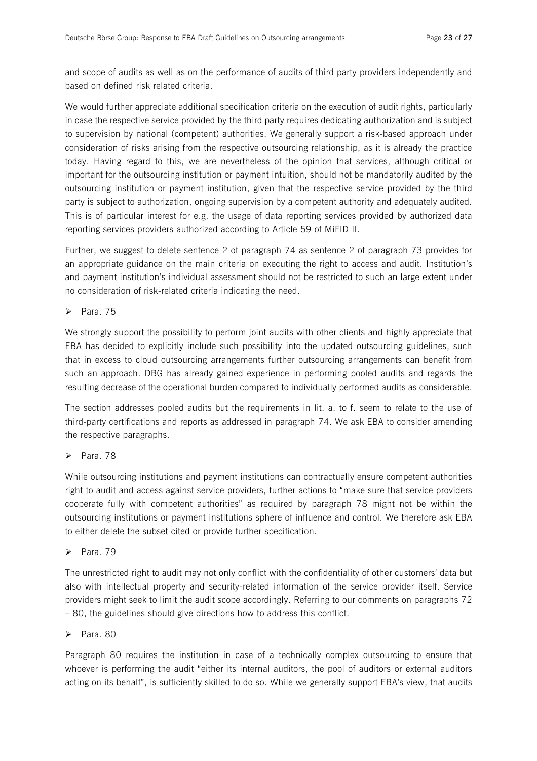and scope of audits as well as on the performance of audits of third party providers independently and based on defined risk related criteria.

We would further appreciate additional specification criteria on the execution of audit rights, particularly in case the respective service provided by the third party requires dedicating authorization and is subject to supervision by national (competent) authorities. We generally support a risk-based approach under consideration of risks arising from the respective outsourcing relationship, as it is already the practice today. Having regard to this, we are nevertheless of the opinion that services, although critical or important for the outsourcing institution or payment intuition, should not be mandatorily audited by the outsourcing institution or payment institution, given that the respective service provided by the third party is subject to authorization, ongoing supervision by a competent authority and adequately audited. This is of particular interest for e.g. the usage of data reporting services provided by authorized data reporting services providers authorized according to Article 59 of MiFID II.

Further, we suggest to delete sentence 2 of paragraph 74 as sentence 2 of paragraph 73 provides for an appropriate guidance on the main criteria on executing the right to access and audit. Institution's and payment institution's individual assessment should not be restricted to such an large extent under no consideration of risk-related criteria indicating the need.

 $\triangleright$  Para. 75

We strongly support the possibility to perform joint audits with other clients and highly appreciate that EBA has decided to explicitly include such possibility into the updated outsourcing guidelines, such that in excess to cloud outsourcing arrangements further outsourcing arrangements can benefit from such an approach. DBG has already gained experience in performing pooled audits and regards the resulting decrease of the operational burden compared to individually performed audits as considerable.

The section addresses pooled audits but the requirements in lit. a. to f. seem to relate to the use of third-party certifications and reports as addressed in paragraph 74. We ask EBA to consider amending the respective paragraphs.

 $\triangleright$  Para. 78

While outsourcing institutions and payment institutions can contractually ensure competent authorities right to audit and access against service providers, further actions to "make sure that service providers cooperate fully with competent authorities" as required by paragraph 78 might not be within the outsourcing institutions or payment institutions sphere of influence and control. We therefore ask EBA to either delete the subset cited or provide further specification.

 $\triangleright$  Para. 79

The unrestricted right to audit may not only conflict with the confidentiality of other customers' data but also with intellectual property and security-related information of the service provider itself. Service providers might seek to limit the audit scope accordingly. Referring to our comments on paragraphs 72 – 80, the guidelines should give directions how to address this conflict.

## $\triangleright$  Para. 80

Paragraph 80 requires the institution in case of a technically complex outsourcing to ensure that whoever is performing the audit "either its internal auditors, the pool of auditors or external auditors acting on its behalf", is sufficiently skilled to do so. While we generally support EBA's view, that audits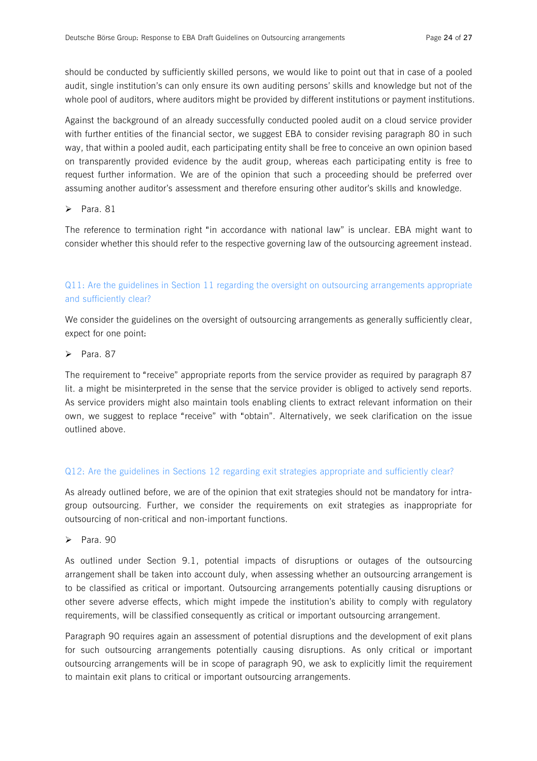should be conducted by sufficiently skilled persons, we would like to point out that in case of a pooled audit, single institution's can only ensure its own auditing persons' skills and knowledge but not of the whole pool of auditors, where auditors might be provided by different institutions or payment institutions.

Against the background of an already successfully conducted pooled audit on a cloud service provider with further entities of the financial sector, we suggest EBA to consider revising paragraph 80 in such way, that within a pooled audit, each participating entity shall be free to conceive an own opinion based on transparently provided evidence by the audit group, whereas each participating entity is free to request further information. We are of the opinion that such a proceeding should be preferred over assuming another auditor's assessment and therefore ensuring other auditor's skills and knowledge.

 $\triangleright$  Para. 81

The reference to termination right "in accordance with national law" is unclear. EBA might want to consider whether this should refer to the respective governing law of the outsourcing agreement instead.

## Q11: Are the guidelines in Section 11 regarding the oversight on outsourcing arrangements appropriate and sufficiently clear?

We consider the guidelines on the oversight of outsourcing arrangements as generally sufficiently clear, expect for one point:

#### $\triangleright$  Para 87

The requirement to "receive" appropriate reports from the service provider as required by paragraph 87 lit. a might be misinterpreted in the sense that the service provider is obliged to actively send reports. As service providers might also maintain tools enabling clients to extract relevant information on their own, we suggest to replace "receive" with "obtain". Alternatively, we seek clarification on the issue outlined above.

#### Q12: Are the guidelines in Sections 12 regarding exit strategies appropriate and sufficiently clear?

As already outlined before, we are of the opinion that exit strategies should not be mandatory for intragroup outsourcing. Further, we consider the requirements on exit strategies as inappropriate for outsourcing of non-critical and non-important functions.

 $\triangleright$  Para. 90

As outlined under Section 9.1, potential impacts of disruptions or outages of the outsourcing arrangement shall be taken into account duly, when assessing whether an outsourcing arrangement is to be classified as critical or important. Outsourcing arrangements potentially causing disruptions or other severe adverse effects, which might impede the institution's ability to comply with regulatory requirements, will be classified consequently as critical or important outsourcing arrangement.

Paragraph 90 requires again an assessment of potential disruptions and the development of exit plans for such outsourcing arrangements potentially causing disruptions. As only critical or important outsourcing arrangements will be in scope of paragraph 90, we ask to explicitly limit the requirement to maintain exit plans to critical or important outsourcing arrangements.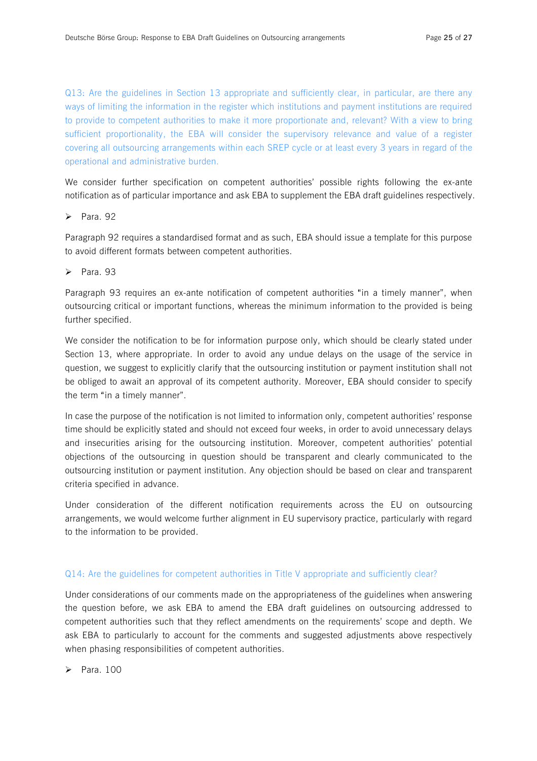Q13: Are the guidelines in Section 13 appropriate and sufficiently clear, in particular, are there any ways of limiting the information in the register which institutions and payment institutions are required to provide to competent authorities to make it more proportionate and, relevant? With a view to bring sufficient proportionality, the EBA will consider the supervisory relevance and value of a register covering all outsourcing arrangements within each SREP cycle or at least every 3 years in regard of the operational and administrative burden.

We consider further specification on competent authorities' possible rights following the ex-ante notification as of particular importance and ask EBA to supplement the EBA draft guidelines respectively.

#### $\triangleright$  Para 92

Paragraph 92 requires a standardised format and as such, EBA should issue a template for this purpose to avoid different formats between competent authorities.

#### $\blacktriangleright$  Para. 93

Paragraph 93 requires an ex-ante notification of competent authorities "in a timely manner", when outsourcing critical or important functions, whereas the minimum information to the provided is being further specified.

We consider the notification to be for information purpose only, which should be clearly stated under Section 13, where appropriate. In order to avoid any undue delays on the usage of the service in question, we suggest to explicitly clarify that the outsourcing institution or payment institution shall not be obliged to await an approval of its competent authority. Moreover, EBA should consider to specify the term "in a timely manner".

In case the purpose of the notification is not limited to information only, competent authorities' response time should be explicitly stated and should not exceed four weeks, in order to avoid unnecessary delays and insecurities arising for the outsourcing institution. Moreover, competent authorities' potential objections of the outsourcing in question should be transparent and clearly communicated to the outsourcing institution or payment institution. Any objection should be based on clear and transparent criteria specified in advance.

Under consideration of the different notification requirements across the EU on outsourcing arrangements, we would welcome further alignment in EU supervisory practice, particularly with regard to the information to be provided.

#### Q14: Are the guidelines for competent authorities in Title V appropriate and sufficiently clear?

Under considerations of our comments made on the appropriateness of the guidelines when answering the question before, we ask EBA to amend the EBA draft guidelines on outsourcing addressed to competent authorities such that they reflect amendments on the requirements' scope and depth. We ask EBA to particularly to account for the comments and suggested adjustments above respectively when phasing responsibilities of competent authorities.

 $\triangleright$  Para 100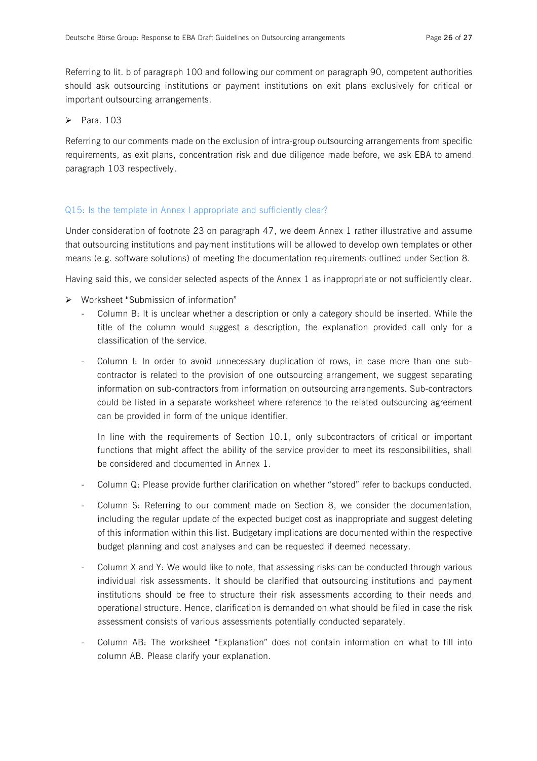Referring to lit. b of paragraph 100 and following our comment on paragraph 90, competent authorities should ask outsourcing institutions or payment institutions on exit plans exclusively for critical or important outsourcing arrangements.

 $\blacktriangleright$  Para. 103

Referring to our comments made on the exclusion of intra-group outsourcing arrangements from specific requirements, as exit plans, concentration risk and due diligence made before, we ask EBA to amend paragraph 103 respectively.

#### Q15: Is the template in Annex I appropriate and sufficiently clear?

Under consideration of footnote 23 on paragraph 47, we deem Annex 1 rather illustrative and assume that outsourcing institutions and payment institutions will be allowed to develop own templates or other means (e.g. software solutions) of meeting the documentation requirements outlined under Section 8.

Having said this, we consider selected aspects of the Annex 1 as inappropriate or not sufficiently clear.

- $\triangleright$  Worksheet "Submission of information"
	- Column B: It is unclear whether a description or only a category should be inserted. While the title of the column would suggest a description, the explanation provided call only for a classification of the service.
	- Column I: In order to avoid unnecessary duplication of rows, in case more than one subcontractor is related to the provision of one outsourcing arrangement, we suggest separating information on sub-contractors from information on outsourcing arrangements. Sub-contractors could be listed in a separate worksheet where reference to the related outsourcing agreement can be provided in form of the unique identifier.

In line with the requirements of Section 10.1, only subcontractors of critical or important functions that might affect the ability of the service provider to meet its responsibilities, shall be considered and documented in Annex 1.

- Column Q: Please provide further clarification on whether "stored" refer to backups conducted.
- Column S: Referring to our comment made on Section 8, we consider the documentation, including the regular update of the expected budget cost as inappropriate and suggest deleting of this information within this list. Budgetary implications are documented within the respective budget planning and cost analyses and can be requested if deemed necessary.
- Column X and Y: We would like to note, that assessing risks can be conducted through various individual risk assessments. It should be clarified that outsourcing institutions and payment institutions should be free to structure their risk assessments according to their needs and operational structure. Hence, clarification is demanded on what should be filed in case the risk assessment consists of various assessments potentially conducted separately.
- Column AB: The worksheet "Explanation" does not contain information on what to fill into column AB. Please clarify your explanation.